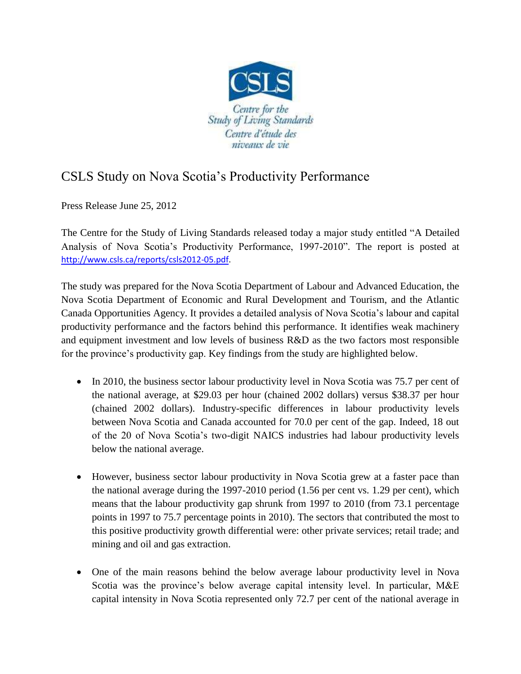

## CSLS Study on Nova Scotia's Productivity Performance

Press Release June 25, 2012

The Centre for the Study of Living Standards released today a major study entitled "A Detailed Analysis of Nova Scotia's Productivity Performance, 1997-2010". The report is posted at [http://www.csls.ca/reports/csls2012-05.pdf.](http://www.csls.ca/reports/csls2012-05.pdf)

The study was prepared for the Nova Scotia Department of Labour and Advanced Education, the Nova Scotia Department of Economic and Rural Development and Tourism, and the Atlantic Canada Opportunities Agency. It provides a detailed analysis of Nova Scotia's labour and capital productivity performance and the factors behind this performance. It identifies weak machinery and equipment investment and low levels of business R&D as the two factors most responsible for the province's productivity gap. Key findings from the study are highlighted below.

- In 2010, the business sector labour productivity level in Nova Scotia was 75.7 per cent of the national average, at \$29.03 per hour (chained 2002 dollars) versus \$38.37 per hour (chained 2002 dollars). Industry-specific differences in labour productivity levels between Nova Scotia and Canada accounted for 70.0 per cent of the gap. Indeed, 18 out of the 20 of Nova Scotia's two-digit NAICS industries had labour productivity levels below the national average.
- However, business sector labour productivity in Nova Scotia grew at a faster pace than the national average during the 1997-2010 period (1.56 per cent vs. 1.29 per cent), which means that the labour productivity gap shrunk from 1997 to 2010 (from 73.1 percentage points in 1997 to 75.7 percentage points in 2010). The sectors that contributed the most to this positive productivity growth differential were: other private services; retail trade; and mining and oil and gas extraction.
- One of the main reasons behind the below average labour productivity level in Nova Scotia was the province's below average capital intensity level. In particular, M&E capital intensity in Nova Scotia represented only 72.7 per cent of the national average in